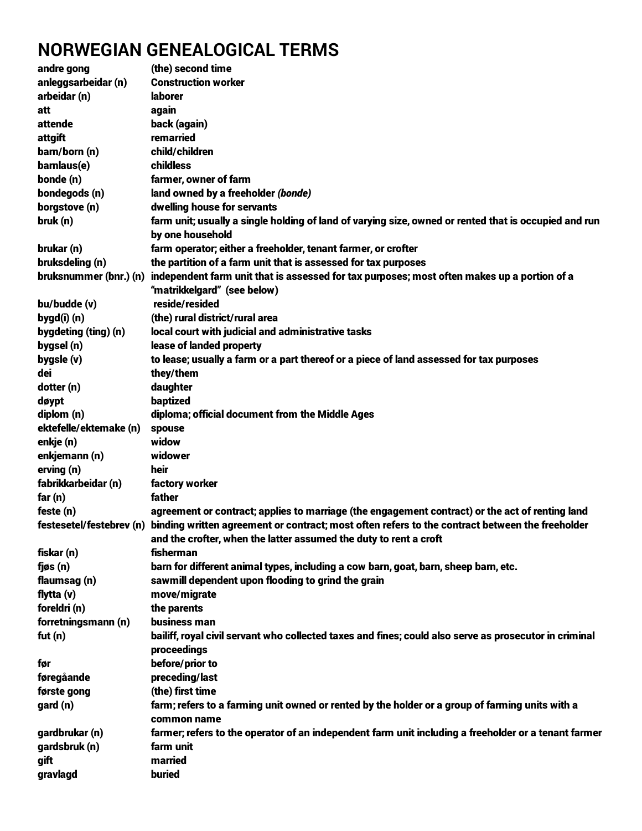## **NORWEGIAN GENEALOGICAL TERMS**

| andre gong             | (the) second time                                                                                                        |
|------------------------|--------------------------------------------------------------------------------------------------------------------------|
| anleggsarbeidar (n)    | <b>Construction worker</b>                                                                                               |
| arbeidar (n)           | <b>laborer</b>                                                                                                           |
| att                    | again                                                                                                                    |
| attende                | back (again)                                                                                                             |
| attgift                | remarried                                                                                                                |
| barn/born (n)          | child/children                                                                                                           |
| barnlaus(e)            | childless                                                                                                                |
| bonde (n)              | farmer, owner of farm                                                                                                    |
| bondegods (n)          | land owned by a freeholder (bonde)                                                                                       |
| borgstove (n)          | dwelling house for servants                                                                                              |
|                        |                                                                                                                          |
| bruk (n)               | farm unit; usually a single holding of land of varying size, owned or rented that is occupied and run                    |
|                        | by one household                                                                                                         |
| brukar (n)             | farm operator; either a freeholder, tenant farmer, or crofter                                                            |
| bruksdeling (n)        | the partition of a farm unit that is assessed for tax purposes                                                           |
| bruksnummer (bnr.) (n) | independent farm unit that is assessed for tax purposes; most often makes up a portion of a                              |
|                        | "matrikkelgard" (see below)                                                                                              |
| bu/budde (v)           | reside/resided                                                                                                           |
| bygd(i)(n)             | (the) rural district/rural area                                                                                          |
| bygdeting (ting) (n)   | local court with judicial and administrative tasks                                                                       |
| bygsel (n)             | lease of landed property                                                                                                 |
| bygsle (v)             | to lease; usually a farm or a part thereof or a piece of land assessed for tax purposes                                  |
| dei                    | they/them                                                                                                                |
| dotter (n)             | daughter                                                                                                                 |
| døypt                  | baptized                                                                                                                 |
| diplom (n)             | diploma; official document from the Middle Ages                                                                          |
| ektefelle/ektemake (n) | spouse                                                                                                                   |
| enkje (n)              | widow                                                                                                                    |
| enkjemann (n)          | widower                                                                                                                  |
| erving (n)             | heir                                                                                                                     |
| fabrikkarbeidar (n)    | factory worker                                                                                                           |
| far(n)                 | father                                                                                                                   |
| feste (n)              | agreement or contract; applies to marriage (the engagement contract) or the act of renting land                          |
|                        | festesetel/festebrev (n) binding written agreement or contract; most often refers to the contract between the freeholder |
|                        | and the crofter, when the latter assumed the duty to rent a croft                                                        |
|                        |                                                                                                                          |
| fiskar (n)             | fisherman                                                                                                                |
| $f$ jøs $(n)$          | barn for different animal types, including a cow barn, goat, barn, sheep barn, etc.                                      |
| flaumsag (n)           | sawmill dependent upon flooding to grind the grain                                                                       |
| flytta (v)             | move/migrate                                                                                                             |
| foreldri (n)           | the parents                                                                                                              |
| forretningsmann (n)    | business man                                                                                                             |
| fut $(n)$              | bailiff, royal civil servant who collected taxes and fines; could also serve as prosecutor in criminal                   |
|                        | proceedings                                                                                                              |
| før                    | before/prior to                                                                                                          |
| føregåande             | preceding/last                                                                                                           |
| første gong            | (the) first time                                                                                                         |
| gard (n)               | farm; refers to a farming unit owned or rented by the holder or a group of farming units with a                          |
|                        | common name                                                                                                              |
| gardbrukar (n)         | farmer; refers to the operator of an independent farm unit including a freeholder or a tenant farmer                     |
| gardsbruk (n)          | farm unit                                                                                                                |
| gift                   | married                                                                                                                  |
| gravlagd               | buried                                                                                                                   |
|                        |                                                                                                                          |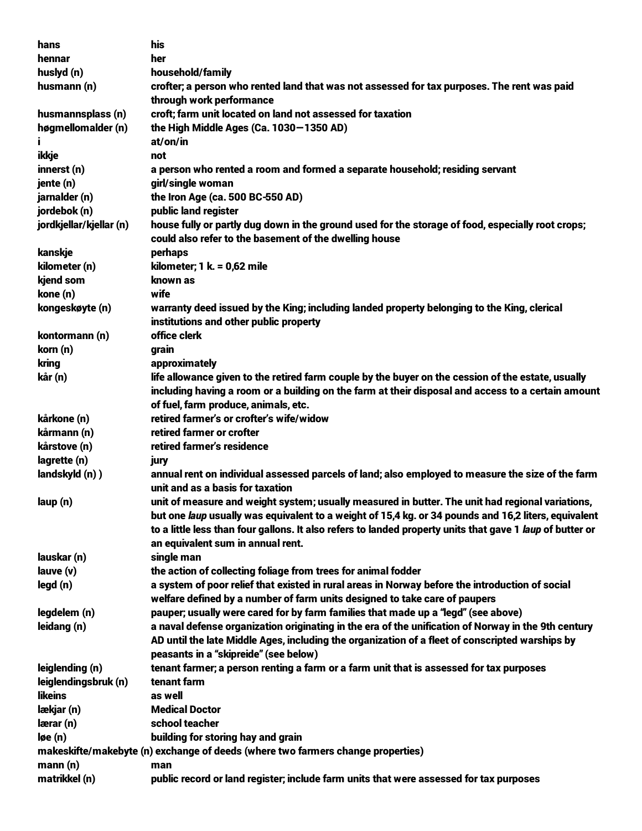| hans                                                                            | his                                                                                                       |  |
|---------------------------------------------------------------------------------|-----------------------------------------------------------------------------------------------------------|--|
| hennar                                                                          | her                                                                                                       |  |
| huslyd (n)                                                                      | household/family                                                                                          |  |
| husmann (n)                                                                     | crofter; a person who rented land that was not assessed for tax purposes. The rent was paid               |  |
|                                                                                 | through work performance                                                                                  |  |
| husmannsplass (n)                                                               | croft; farm unit located on land not assessed for taxation                                                |  |
| høgmellomalder (n)                                                              | the High Middle Ages (Ca. 1030-1350 AD)                                                                   |  |
| Ť                                                                               | at/on/in                                                                                                  |  |
| ikkje                                                                           | not                                                                                                       |  |
| innerst (n)                                                                     | a person who rented a room and formed a separate household; residing servant                              |  |
| jente (n)                                                                       | girl/single woman                                                                                         |  |
| jarnalder (n)                                                                   | the Iron Age (ca. 500 BC-550 AD)                                                                          |  |
| jordebok (n)                                                                    | public land register                                                                                      |  |
| jordkjellar/kjellar (n)                                                         | house fully or partly dug down in the ground used for the storage of food, especially root crops;         |  |
|                                                                                 | could also refer to the basement of the dwelling house                                                    |  |
| kanskje                                                                         | perhaps                                                                                                   |  |
| kilometer (n)                                                                   | kilometer; 1 k. = 0,62 mile                                                                               |  |
|                                                                                 |                                                                                                           |  |
| kjend som                                                                       | known as                                                                                                  |  |
| kone (n)                                                                        | wife                                                                                                      |  |
| kongeskøyte (n)                                                                 | warranty deed issued by the King; including landed property belonging to the King, clerical               |  |
|                                                                                 | institutions and other public property                                                                    |  |
| kontormann (n)                                                                  | office clerk                                                                                              |  |
| korn (n)                                                                        | grain                                                                                                     |  |
| kring                                                                           | approximately                                                                                             |  |
| kår (n)                                                                         | life allowance given to the retired farm couple by the buyer on the cession of the estate, usually        |  |
|                                                                                 | including having a room or a building on the farm at their disposal and access to a certain amount        |  |
|                                                                                 | of fuel, farm produce, animals, etc.                                                                      |  |
| kårkone (n)                                                                     | retired farmer's or crofter's wife/widow                                                                  |  |
| kårmann (n)                                                                     | retired farmer or crofter                                                                                 |  |
| kårstove (n)                                                                    | retired farmer's residence                                                                                |  |
| lagrette (n)                                                                    | jury                                                                                                      |  |
| landskyld (n))                                                                  | annual rent on individual assessed parcels of land; also employed to measure the size of the farm         |  |
|                                                                                 | unit and as a basis for taxation                                                                          |  |
| laup (n)                                                                        | unit of measure and weight system; usually measured in butter. The unit had regional variations,          |  |
|                                                                                 | but one laup usually was equivalent to a weight of 15,4 kg. or 34 pounds and 16,2 liters, equivalent      |  |
|                                                                                 | to a little less than four gallons. It also refers to landed property units that gave 1 laup of butter or |  |
|                                                                                 | an equivalent sum in annual rent.                                                                         |  |
| lauskar (n)                                                                     | single man                                                                                                |  |
| lauve (v)                                                                       | the action of collecting foliage from trees for animal fodder                                             |  |
| legd (n)                                                                        | a system of poor relief that existed in rural areas in Norway before the introduction of social           |  |
|                                                                                 | welfare defined by a number of farm units designed to take care of paupers                                |  |
| legdelem (n)                                                                    | pauper; usually were cared for by farm families that made up a "legd" (see above)                         |  |
| leidang (n)                                                                     | a naval defense organization originating in the era of the unification of Norway in the 9th century       |  |
|                                                                                 | AD until the late Middle Ages, including the organization of a fleet of conscripted warships by           |  |
|                                                                                 |                                                                                                           |  |
|                                                                                 | peasants in a "skipreide" (see below)                                                                     |  |
| leiglending (n)                                                                 | tenant farmer; a person renting a farm or a farm unit that is assessed for tax purposes                   |  |
| leiglendingsbruk (n)                                                            | tenant farm                                                                                               |  |
| likeins                                                                         | as well                                                                                                   |  |
| lækjar (n)                                                                      | <b>Medical Doctor</b>                                                                                     |  |
| lærar (n)                                                                       | school teacher                                                                                            |  |
| løe (n)                                                                         | building for storing hay and grain                                                                        |  |
| makeskifte/makebyte (n) exchange of deeds (where two farmers change properties) |                                                                                                           |  |
| mann(n)                                                                         | man                                                                                                       |  |
| matrikkel (n)                                                                   | public record or land register; include farm units that were assessed for tax purposes                    |  |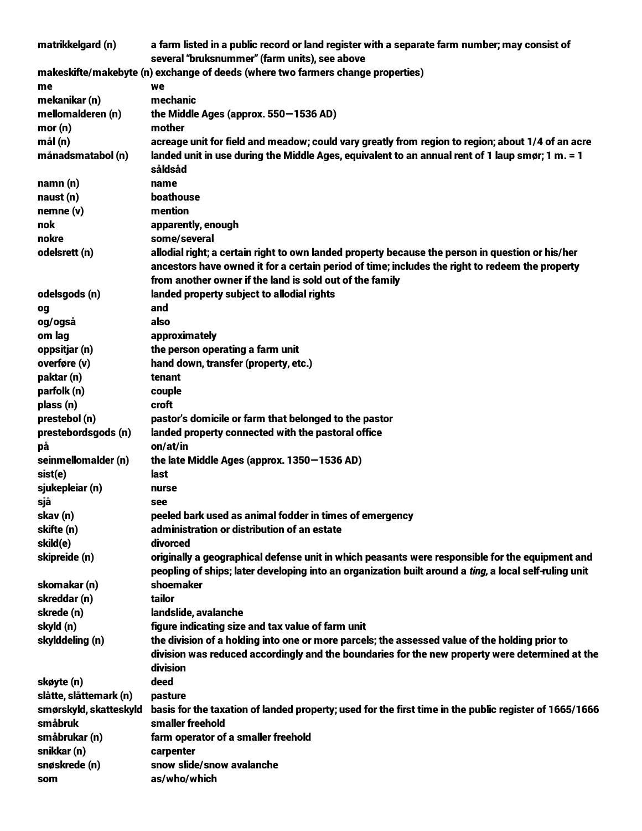| matrikkelgard (n)      | a farm listed in a public record or land register with a separate farm number; may consist of<br>several "bruksnummer" (farm units), see above                                                                                                                  |
|------------------------|-----------------------------------------------------------------------------------------------------------------------------------------------------------------------------------------------------------------------------------------------------------------|
|                        | makeskifte/makebyte (n) exchange of deeds (where two farmers change properties)                                                                                                                                                                                 |
| me                     | we                                                                                                                                                                                                                                                              |
| mekanikar (n)          | mechanic                                                                                                                                                                                                                                                        |
| mellomalderen (n)      | the Middle Ages (approx. 550–1536 AD)                                                                                                                                                                                                                           |
| mor(n)                 | mother                                                                                                                                                                                                                                                          |
| mål(n)                 | acreage unit for field and meadow; could vary greatly from region to region; about 1/4 of an acre                                                                                                                                                               |
| månadsmatabol (n)      | landed unit in use during the Middle Ages, equivalent to an annual rent of 1 laup smør; 1 m. = 1<br>såldsåd                                                                                                                                                     |
| namn(n)                | name                                                                                                                                                                                                                                                            |
| naust (n)              | boathouse                                                                                                                                                                                                                                                       |
| nemne (v)              | mention                                                                                                                                                                                                                                                         |
| nok                    | apparently, enough                                                                                                                                                                                                                                              |
| nokre                  | some/several                                                                                                                                                                                                                                                    |
| odelsrett (n)          | allodial right; a certain right to own landed property because the person in question or his/her<br>ancestors have owned it for a certain period of time; includes the right to redeem the property<br>from another owner if the land is sold out of the family |
| odelsgods (n)          | landed property subject to allodial rights                                                                                                                                                                                                                      |
| og                     | and                                                                                                                                                                                                                                                             |
| og/også                | also                                                                                                                                                                                                                                                            |
| om lag                 | approximately                                                                                                                                                                                                                                                   |
| oppsitjar (n)          | the person operating a farm unit                                                                                                                                                                                                                                |
| overføre (v)           | hand down, transfer (property, etc.)                                                                                                                                                                                                                            |
| paktar (n)             | tenant                                                                                                                                                                                                                                                          |
| parfolk (n)            | couple                                                                                                                                                                                                                                                          |
| plass (n)              | croft                                                                                                                                                                                                                                                           |
| prestebol (n)          | pastor's domicile or farm that belonged to the pastor                                                                                                                                                                                                           |
| prestebordsgods (n)    | landed property connected with the pastoral office                                                                                                                                                                                                              |
| рă                     | on/at/in                                                                                                                                                                                                                                                        |
| seinmellomalder (n)    | the late Middle Ages (approx. 1350–1536 AD)                                                                                                                                                                                                                     |
| sist(e)                | last                                                                                                                                                                                                                                                            |
| sjukepleiar (n)        | nurse                                                                                                                                                                                                                                                           |
| sjå                    | see                                                                                                                                                                                                                                                             |
| skav (n)               | peeled bark used as animal fodder in times of emergency                                                                                                                                                                                                         |
| skifte (n)             | administration or distribution of an estate                                                                                                                                                                                                                     |
| skild(e)               | divorced                                                                                                                                                                                                                                                        |
| skipreide (n)          | originally a geographical defense unit in which peasants were responsible for the equipment and<br>peopling of ships; later developing into an organization built around a ting, a local self-ruling unit                                                       |
| skomakar (n)           | shoemaker                                                                                                                                                                                                                                                       |
| skreddar (n)           | tailor                                                                                                                                                                                                                                                          |
| skrede (n)             | landslide, avalanche                                                                                                                                                                                                                                            |
| skyld (n)              | figure indicating size and tax value of farm unit                                                                                                                                                                                                               |
| skylddeling (n)        | the division of a holding into one or more parcels; the assessed value of the holding prior to                                                                                                                                                                  |
|                        | division was reduced accordingly and the boundaries for the new property were determined at the<br>division                                                                                                                                                     |
| skøyte (n)             | deed                                                                                                                                                                                                                                                            |
| slåtte, slåttemark (n) | pasture                                                                                                                                                                                                                                                         |
| smørskyld, skatteskyld | basis for the taxation of landed property; used for the first time in the public register of 1665/1666                                                                                                                                                          |
| småbruk                | smaller freehold                                                                                                                                                                                                                                                |
| småbrukar (n)          | farm operator of a smaller freehold                                                                                                                                                                                                                             |
| snikkar (n)            | carpenter                                                                                                                                                                                                                                                       |
| snøskrede (n)          | snow slide/snow avalanche                                                                                                                                                                                                                                       |
| som                    | as/who/which                                                                                                                                                                                                                                                    |